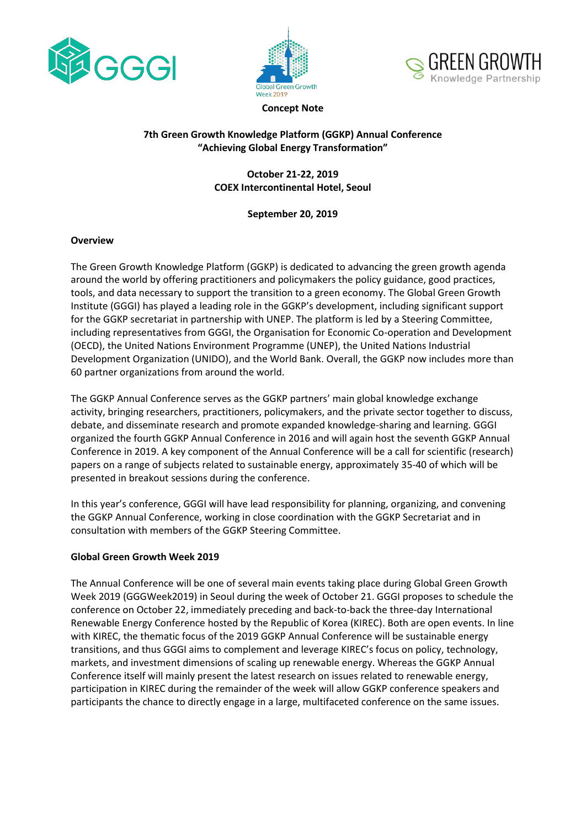





#### **Concept Note**

## **7th Green Growth Knowledge Platform (GGKP) Annual Conference "Achieving Global Energy Transformation"**

## **October 21-22, 2019 COEX Intercontinental Hotel, Seoul**

## **September 20, 2019**

## **Overview**

The Green Growth Knowledge Platform (GGKP) is dedicated to advancing the green growth agenda around the world by offering practitioners and policymakers the policy guidance, good practices, tools, and data necessary to support the transition to a green economy. The Global Green Growth Institute (GGGI) has played a leading role in the GGKP's development, including significant support for the GGKP secretariat in partnership with UNEP. The platform is led by a Steering Committee, including representatives from GGGI, the Organisation for Economic Co-operation and Development (OECD), the United Nations Environment Programme (UNEP), the United Nations Industrial Development Organization (UNIDO), and the World Bank. Overall, the GGKP now includes more than 60 partner organizations from around the world.

The GGKP Annual Conference serves as the GGKP partners' main global knowledge exchange activity, bringing researchers, practitioners, policymakers, and the private sector together to discuss, debate, and disseminate research and promote expanded knowledge-sharing and learning. GGGI organized the fourth GGKP Annual Conference in 2016 and will again host the seventh GGKP Annual Conference in 2019. A key component of the Annual Conference will be a call for scientific (research) papers on a range of subjects related to sustainable energy, approximately 35-40 of which will be presented in breakout sessions during the conference.

In this year's conference, GGGI will have lead responsibility for planning, organizing, and convening the GGKP Annual Conference, working in close coordination with the GGKP Secretariat and in consultation with members of the GGKP Steering Committee.

## **Global Green Growth Week 2019**

The Annual Conference will be one of several main events taking place during Global Green Growth Week 2019 (GGGWeek2019) in Seoul during the week of October 21. GGGI proposes to schedule the conference on October 22, immediately preceding and back-to-back the three-day International Renewable Energy Conference hosted by the Republic of Korea (KIREC). Both are open events. In line with KIREC, the thematic focus of the 2019 GGKP Annual Conference will be sustainable energy transitions, and thus GGGI aims to complement and leverage KIREC's focus on policy, technology, markets, and investment dimensions of scaling up renewable energy. Whereas the GGKP Annual Conference itself will mainly present the latest research on issues related to renewable energy, participation in KIREC during the remainder of the week will allow GGKP conference speakers and participants the chance to directly engage in a large, multifaceted conference on the same issues.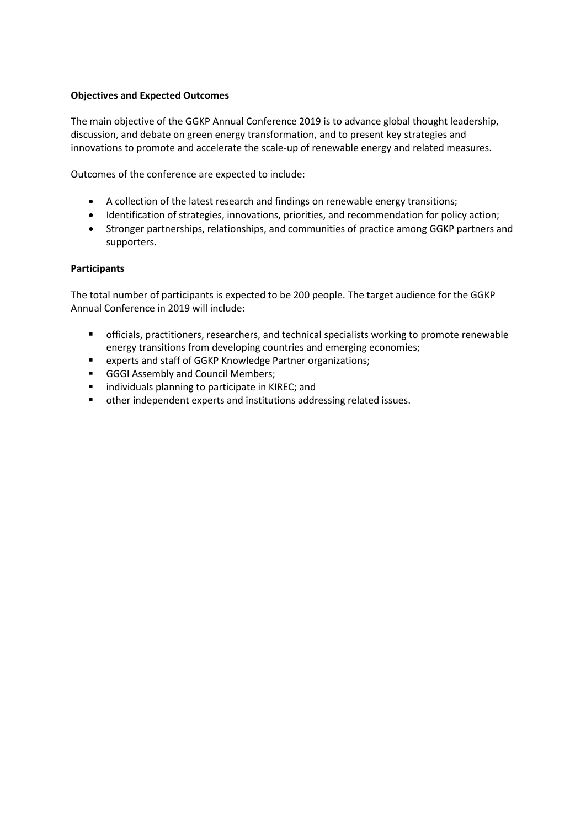## **Objectives and Expected Outcomes**

The main objective of the GGKP Annual Conference 2019 is to advance global thought leadership, discussion, and debate on green energy transformation, and to present key strategies and innovations to promote and accelerate the scale-up of renewable energy and related measures.

Outcomes of the conference are expected to include:

- A collection of the latest research and findings on renewable energy transitions;
- Identification of strategies, innovations, priorities, and recommendation for policy action;
- Stronger partnerships, relationships, and communities of practice among GGKP partners and supporters.

#### **Participants**

The total number of participants is expected to be 200 people. The target audience for the GGKP Annual Conference in 2019 will include:

- **E** officials, practitioners, researchers, and technical specialists working to promote renewable energy transitions from developing countries and emerging economies;
- experts and staff of GGKP Knowledge Partner organizations;
- GGGI Assembly and Council Members;
- individuals planning to participate in KIREC; and
- other independent experts and institutions addressing related issues.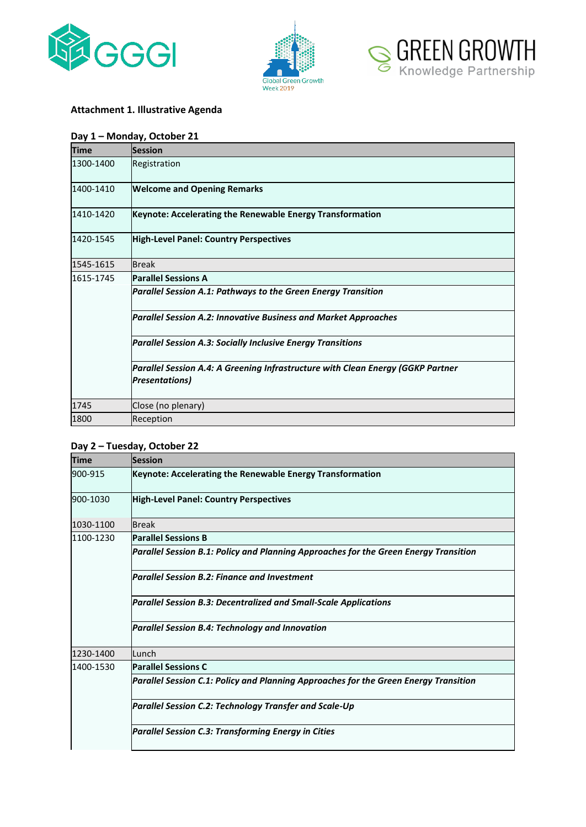





# **Attachment 1. Illustrative Agenda**

## **Day 1 – Monday, October 21**

| <b>Time</b> | <b>Session</b>                                                                                            |
|-------------|-----------------------------------------------------------------------------------------------------------|
| 1300-1400   | Registration                                                                                              |
| 1400-1410   | <b>Welcome and Opening Remarks</b>                                                                        |
| 1410-1420   | Keynote: Accelerating the Renewable Energy Transformation                                                 |
| 1420-1545   | <b>High-Level Panel: Country Perspectives</b>                                                             |
| 1545-1615   | <b>Break</b>                                                                                              |
| 1615-1745   | <b>Parallel Sessions A</b>                                                                                |
|             | Parallel Session A.1: Pathways to the Green Energy Transition                                             |
|             | <b>Parallel Session A.2: Innovative Business and Market Approaches</b>                                    |
|             | <b>Parallel Session A.3: Socially Inclusive Energy Transitions</b>                                        |
|             | Parallel Session A.4: A Greening Infrastructure with Clean Energy (GGKP Partner<br><b>Presentations</b> ) |
| 1745        | Close (no plenary)                                                                                        |
| 1800        | Reception                                                                                                 |

#### **Day 2 – Tuesday, October 22**

| <b>Time</b> | <b>Session</b>                                                                       |
|-------------|--------------------------------------------------------------------------------------|
| 900-915     | Keynote: Accelerating the Renewable Energy Transformation                            |
| 900-1030    | <b>High-Level Panel: Country Perspectives</b>                                        |
| 1030-1100   | <b>Break</b>                                                                         |
| 1100-1230   | <b>Parallel Sessions B</b>                                                           |
|             | Parallel Session B.1: Policy and Planning Approaches for the Green Energy Transition |
|             | <b>Parallel Session B.2: Finance and Investment</b>                                  |
|             | <b>Parallel Session B.3: Decentralized and Small-Scale Applications</b>              |
|             | <b>Parallel Session B.4: Technology and Innovation</b>                               |
| 1230-1400   | Lunch                                                                                |
| 1400-1530   | <b>Parallel Sessions C</b>                                                           |
|             | Parallel Session C.1: Policy and Planning Approaches for the Green Energy Transition |
|             | <b>Parallel Session C.2: Technology Transfer and Scale-Up</b>                        |
|             | <b>Parallel Session C.3: Transforming Energy in Cities</b>                           |